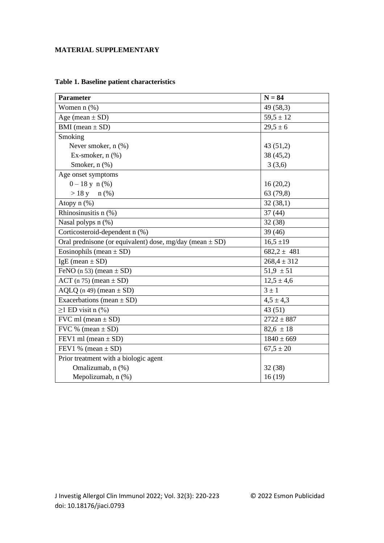## **MATERIAL SUPPLEMENTARY**

| <b>Parameter</b>                                             | $N = 84$        |
|--------------------------------------------------------------|-----------------|
| Women $n$ $%$                                                | 49 (58,3)       |
| Age (mean $\pm$ SD)                                          | $59,5 \pm 12$   |
| BMI (mean $\pm$ SD)                                          | $29.5 \pm 6$    |
| Smoking                                                      |                 |
| Never smoker, $n$ $(\%)$                                     | 43(51,2)        |
| Ex-smoker, $n$ $%$                                           | 38(45,2)        |
| Smoker, n (%)                                                | 3(3,6)          |
| Age onset symptoms                                           |                 |
| $0-18$ y n $(\%)$                                            | 16(20,2)        |
| $> 18 y$ n (%)                                               | 63 (79,8)       |
| Atopy n (%)                                                  | 32(38,1)        |
| Rhinosinusitis n (%)                                         | 37(44)          |
| Nasal polyps n (%)                                           | 32(38)          |
| Corticosteroid-dependent n (%)                               | 39(46)          |
| Oral prednisone (or equivalent) dose, mg/day (mean $\pm$ SD) | $16,5 \pm 19$   |
| Eosinophils (mean $\pm$ SD)                                  | $682,2 \pm 481$ |
| $IgE$ (mean $\pm$ SD)                                        | $268,4 \pm 312$ |
| FeNO (n 53) (mean $\pm$ SD)                                  | $51,9 \pm 51$   |
| $ACT (n 75) (mean \pm SD)$                                   | $12,5 \pm 4,6$  |
| $AQLQ$ (n 49) (mean $\pm$ SD)                                | $3 \pm 1$       |
| Exacerbations (mean $\pm$ SD)                                | $4,5 \pm 4,3$   |
| $\geq$ 1 ED visit n (%)                                      | 43(51)          |
| FVC ml (mean $\pm$ SD)                                       | $2722 \pm 887$  |
| FVC % (mean $\pm$ SD)                                        | $82,6 \pm 18$   |
| FEV1 ml (mean $\pm$ SD)                                      | $1840 \pm 669$  |
| FEV1 % (mean $\pm$ SD)                                       | $67,5 \pm 20$   |
| Prior treatment with a biologic agent                        |                 |
| Omalizumab, n (%)                                            | 32(38)          |
| Mepolizumab, n (%)                                           | 16(19)          |

# **Table 1. Baseline patient characteristics**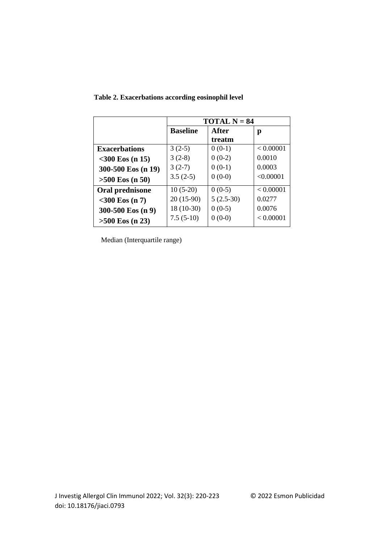|                      | <b>TOTAL N = 84</b> |             |           |
|----------------------|---------------------|-------------|-----------|
|                      | <b>Baseline</b>     | After       | р         |
|                      |                     | treatm      |           |
| <b>Exacerbations</b> | $3(2-5)$            | $0(0-1)$    | < 0.00001 |
| $<$ 300 Eos (n 15)   | $3(2-8)$            | $0(0-2)$    | 0.0010    |
| 300-500 Eos (n 19)   | $3(2-7)$            | $0(0-1)$    | 0.0003    |
| $>500$ Eos (n 50)    | $3.5(2-5)$          | $0(0-0)$    | < 0.00001 |
| Oral prednisone      | $10(5-20)$          | $0(0-5)$    | < 0.00001 |
| $<$ 300 Eos (n 7)    | $20(15-90)$         | $5(2.5-30)$ | 0.0277    |
| 300-500 Eos (n 9)    | 18 (10-30)          | $0(0-5)$    | 0.0076    |
| $>500$ Eos (n 23)    | $7.5(5-10)$         | $0(0-0)$    | < 0.00001 |

 **Table 2. Exacerbations according eosinophil level** 

Median (Interquartile range)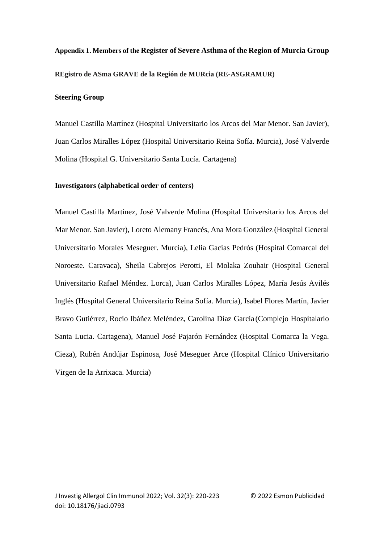**Appendix 1. Members of the Register of Severe Asthma of the Region of Murcia Group REgistro de ASma GRAVE de la Región de MURcia (RE-ASGRAMUR)**

# **Steering Group**

Manuel Castilla Martínez (Hospital Universitario los Arcos del Mar Menor. San Javier), Juan Carlos Miralles López (Hospital Universitario Reina Sofía. Murcia), José Valverde Molina (Hospital G. Universitario Santa Lucía. Cartagena)

#### **Investigators (alphabetical order of centers)**

Manuel Castilla Martínez, José Valverde Molina (Hospital Universitario los Arcos del Mar Menor. San Javier), Loreto Alemany Francés, Ana Mora González (Hospital General Universitario Morales Meseguer. Murcia), Lelia Gacias Pedrós (Hospital Comarcal del Noroeste. Caravaca), Sheila Cabrejos Perotti, El Molaka Zouhair (Hospital General Universitario Rafael Méndez. Lorca), Juan Carlos Miralles López, María Jesús Avilés Inglés (Hospital General Universitario Reina Sofía. Murcia), Isabel Flores Martín, Javier Bravo Gutiérrez, Rocio Ibáñez Meléndez, Carolina Díaz García (Complejo Hospitalario Santa Lucia. Cartagena), Manuel José Pajarón Fernández (Hospital Comarca la Vega. Cieza), Rubén Andújar Espinosa, José Meseguer Arce (Hospital Clínico Universitario Virgen de la Arrixaca. Murcia)